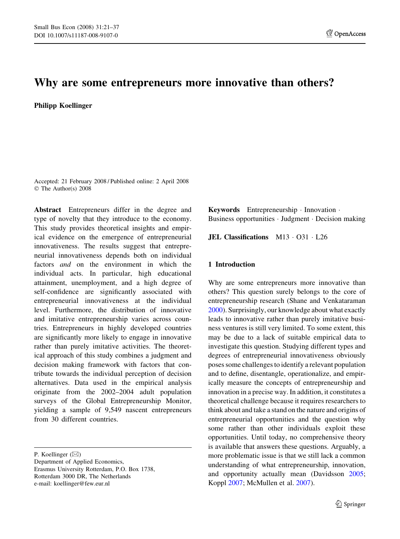# Why are some entrepreneurs more innovative than others?

Philipp Koellinger

Accepted: 21 February 2008 / Published online: 2 April 2008 The Author(s) 2008

Abstract Entrepreneurs differ in the degree and type of novelty that they introduce to the economy. This study provides theoretical insights and empirical evidence on the emergence of entrepreneurial innovativeness. The results suggest that entrepreneurial innovativeness depends both on individual factors and on the environment in which the individual acts. In particular, high educational attainment, unemployment, and a high degree of self-confidence are significantly associated with entrepreneurial innovativeness at the individual level. Furthermore, the distribution of innovative and imitative entrepreneurship varies across countries. Entrepreneurs in highly developed countries are significantly more likely to engage in innovative rather than purely imitative activities. The theoretical approach of this study combines a judgment and decision making framework with factors that contribute towards the individual perception of decision alternatives. Data used in the empirical analysis originate from the 2002–2004 adult population surveys of the Global Entrepreneurship Monitor, yielding a sample of 9,549 nascent entrepreneurs from 30 different countries.

Keywords Entrepreneurship  $\cdot$  Innovation  $\cdot$ Business opportunities · Judgment · Decision making

JEL Classifications M13 · O31 · L26

### 1 Introduction

Why are some entrepreneurs more innovative than others? This question surely belongs to the core of entrepreneurship research (Shane and Venkataraman [2000\)](#page-16-0). Surprisingly, our knowledge about what exactly leads to innovative rather than purely imitative business ventures is still very limited. To some extent, this may be due to a lack of suitable empirical data to investigate this question. Studying different types and degrees of entrepreneurial innovativeness obviously poses some challenges to identify a relevant population and to define, disentangle, operationalize, and empirically measure the concepts of entrepreneurship and innovation in a precise way. In addition, it constitutes a theoretical challenge because it requires researchers to think about and take a stand on the nature and origins of entrepreneurial opportunities and the question why some rather than other individuals exploit these opportunities. Until today, no comprehensive theory is available that answers these questions. Arguably, a more problematic issue is that we still lack a common understanding of what entrepreneurship, innovation, and opportunity actually mean (Davidsson [2005](#page-15-0); Koppl [2007](#page-16-0); McMullen et al. [2007](#page-16-0)).

P. Koellinger  $(\boxtimes)$ 

Department of Applied Economics, Erasmus University Rotterdam, P.O. Box 1738, Rotterdam 3000 DR, The Netherlands e-mail: koellinger@few.eur.nl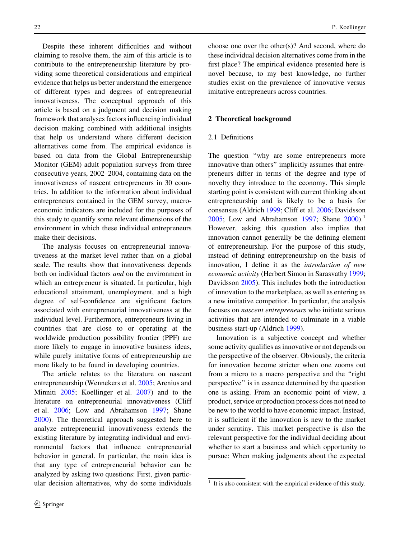Despite these inherent difficulties and without claiming to resolve them, the aim of this article is to contribute to the entrepreneurship literature by providing some theoretical considerations and empirical evidence that helps us better understand the emergence of different types and degrees of entrepreneurial innovativeness. The conceptual approach of this article is based on a judgment and decision making framework that analyses factors influencing individual decision making combined with additional insights that help us understand where different decision alternatives come from. The empirical evidence is based on data from the Global Entrepreneurship Monitor (GEM) adult population surveys from three consecutive years, 2002–2004, containing data on the innovativeness of nascent entrepreneurs in 30 countries. In addition to the information about individual entrepreneurs contained in the GEM survey, macroeconomic indicators are included for the purposes of this study to quantify some relevant dimensions of the environment in which these individual entrepreneurs make their decisions.

The analysis focuses on entrepreneurial innovativeness at the market level rather than on a global scale. The results show that innovativeness depends both on individual factors and on the environment in which an entrepreneur is situated. In particular, high educational attainment, unemployment, and a high degree of self-confidence are significant factors associated with entrepreneurial innovativeness at the individual level. Furthermore, entrepreneurs living in countries that are close to or operating at the worldwide production possibility frontier (PPF) are more likely to engage in innovative business ideas, while purely imitative forms of entrepreneurship are more likely to be found in developing countries.

The article relates to the literature on nascent entrepreneurship (Wennekers et al. [2005](#page-16-0); Arenius and Minniti [2005;](#page-15-0) Koellinger et al. [2007\)](#page-16-0) and to the literature on entrepreneurial innovativeness (Cliff et al. [2006;](#page-15-0) Low and Abrahamson [1997](#page-16-0); Shane [2000\)](#page-16-0). The theoretical approach suggested here to analyze entrepreneurial innovativeness extends the existing literature by integrating individual and environmental factors that influence entrepreneurial behavior in general. In particular, the main idea is that any type of entrepreneurial behavior can be analyzed by asking two questions: First, given particular decision alternatives, why do some individuals

choose one over the other(s)? And second, where do these individual decision alternatives come from in the first place? The empirical evidence presented here is novel because, to my best knowledge, no further studies exist on the prevalence of innovative versus imitative entrepreneurs across countries.

### 2 Theoretical background

## 2.1 Definitions

The question ''why are some entrepreneurs more innovative than others'' implicitly assumes that entrepreneurs differ in terms of the degree and type of novelty they introduce to the economy. This simple starting point is consistent with current thinking about entrepreneurship and is likely to be a basis for consensus (Aldrich [1999;](#page-15-0) Cliff et al. [2006](#page-15-0); Davidsson [2005;](#page-15-0) Low and Abrahamson [1997;](#page-16-0) Shane  $2000$ .<sup>1</sup> However, asking this question also implies that innovation cannot generally be the defining element of entrepreneurship. For the purpose of this study, instead of defining entrepreneurship on the basis of innovation, I define it as the introduction of new economic activity (Herbert Simon in Sarasvathy [1999](#page-16-0); Davidsson [2005\)](#page-15-0). This includes both the introduction of innovation to the marketplace, as well as entering as a new imitative competitor. In particular, the analysis focuses on nascent entrepreneurs who initiate serious activities that are intended to culminate in a viable business start-up (Aldrich [1999](#page-15-0)).

Innovation is a subjective concept and whether some activity qualifies as innovative or not depends on the perspective of the observer. Obviously, the criteria for innovation become stricter when one zooms out from a micro to a macro perspective and the ''right perspective'' is in essence determined by the question one is asking. From an economic point of view, a product, service or production process does not need to be new to the world to have economic impact. Instead, it is sufficient if the innovation is new to the market under scrutiny. This market perspective is also the relevant perspective for the individual deciding about whether to start a business and which opportunity to pursue: When making judgments about the expected

 $1$  It is also consistent with the empirical evidence of this study.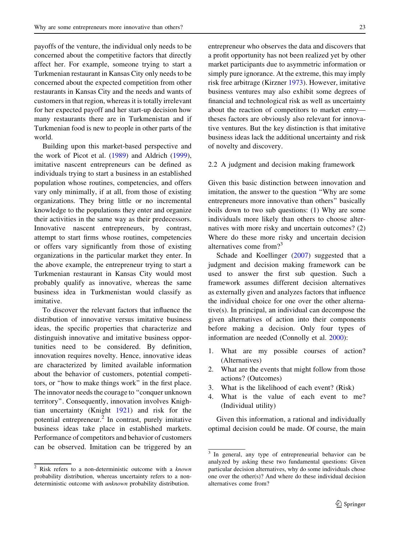payoffs of the venture, the individual only needs to be concerned about the competitive factors that directly affect her. For example, someone trying to start a Turkmenian restaurant in Kansas City only needs to be concerned about the expected competition from other restaurants in Kansas City and the needs and wants of customers in that region, whereas it is totally irrelevant for her expected payoff and her start-up decision how many restaurants there are in Turkmenistan and if Turkmenian food is new to people in other parts of the world.

Building upon this market-based perspective and the work of Picot et al. ([1989](#page-16-0)) and Aldrich [\(1999](#page-15-0)), imitative nascent entrepreneurs can be defined as individuals trying to start a business in an established population whose routines, competencies, and offers vary only minimally, if at all, from those of existing organizations. They bring little or no incremental knowledge to the populations they enter and organize their activities in the same way as their predecessors. Innovative nascent entrepreneurs, by contrast, attempt to start firms whose routines, competencies or offers vary significantly from those of existing organizations in the particular market they enter. In the above example, the entrepreneur trying to start a Turkmenian restaurant in Kansas City would most probably qualify as innovative, whereas the same business idea in Turkmenistan would classify as imitative.

To discover the relevant factors that influence the distribution of innovative versus imitative business ideas, the specific properties that characterize and distinguish innovative and imitative business opportunities need to be considered. By definition, innovation requires novelty. Hence, innovative ideas are characterized by limited available information about the behavior of customers, potential competitors, or ''how to make things work'' in the first place. The innovator needs the courage to ''conquer unknown territory''. Consequently, innovation involves Knightian uncertainty (Knight [1921](#page-16-0)) and risk for the potential entrepreneur.<sup>2</sup> In contrast, purely imitative business ideas take place in established markets. Performance of competitors and behavior of customers can be observed. Imitation can be triggered by an

 $\overline{2}$  Risk refers to a non-deterministic outcome with a *known* probability distribution, whereas uncertainty refers to a nondeterministic outcome with unknown probability distribution.

entrepreneur who observes the data and discovers that a profit opportunity has not been realized yet by other market participants due to asymmetric information or simply pure ignorance. At the extreme, this may imply risk free arbitrage (Kirzner [1973\)](#page-16-0). However, imitative business ventures may also exhibit some degrees of financial and technological risk as well as uncertainty about the reaction of competitors to market entry theses factors are obviously also relevant for innovative ventures. But the key distinction is that imitative business ideas lack the additional uncertainty and risk of novelty and discovery.

#### 2.2 A judgment and decision making framework

Given this basic distinction between innovation and imitation, the answer to the question ''Why are some entrepreneurs more innovative than others'' basically boils down to two sub questions: (1) Why are some individuals more likely than others to choose alternatives with more risky and uncertain outcomes? (2) Where do these more risky and uncertain decision alternatives come from?<sup>3</sup>

Schade and Koellinger ([2007\)](#page-16-0) suggested that a judgment and decision making framework can be used to answer the first sub question. Such a framework assumes different decision alternatives as externally given and analyzes factors that influence the individual choice for one over the other alternative(s). In principal, an individual can decompose the given alternatives of action into their components before making a decision. Only four types of information are needed (Connolly et al. [2000](#page-15-0)):

- 1. What are my possible courses of action? (Alternatives)
- 2. What are the events that might follow from those actions? (Outcomes)
- 3. What is the likelihood of each event? (Risk)
- 4. What is the value of each event to me? (Individual utility)

Given this information, a rational and individually optimal decision could be made. Of course, the main

<sup>3</sup> In general, any type of entrepreneurial behavior can be analyzed by asking these two fundamental questions: Given particular decision alternatives, why do some individuals chose one over the other(s)? And where do these individual decision alternatives come from?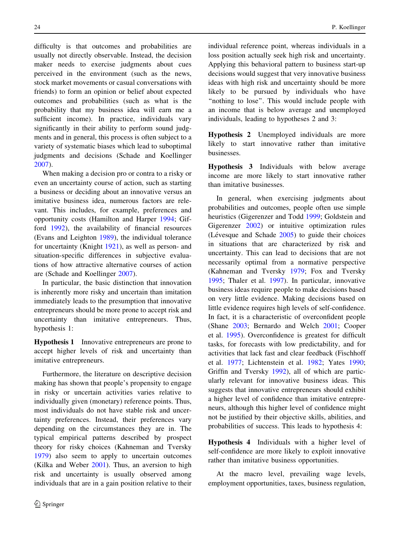difficulty is that outcomes and probabilities are usually not directly observable. Instead, the decision maker needs to exercise judgments about cues perceived in the environment (such as the news, stock market movements or casual conversations with friends) to form an opinion or belief about expected outcomes and probabilities (such as what is the probability that my business idea will earn me a sufficient income). In practice, individuals vary significantly in their ability to perform sound judgments and in general, this process is often subject to a variety of systematic biases which lead to suboptimal judgments and decisions (Schade and Koellinger [2007\)](#page-16-0).

When making a decision pro or contra to a risky or even an uncertainty course of action, such as starting a business or deciding about an innovative versus an imitative business idea, numerous factors are relevant. This includes, for example, preferences and opportunity costs (Hamilton and Harper [1994](#page-15-0); Gifford [1992](#page-15-0)), the availability of financial resources (Evans and Leighton [1989\)](#page-15-0), the individual tolerance for uncertainty (Knight [1921](#page-16-0)), as well as person- and situation-specific differences in subjective evaluations of how attractive alternative courses of action are (Schade and Koellinger [2007\)](#page-16-0).

In particular, the basic distinction that innovation is inherently more risky and uncertain than imitation immediately leads to the presumption that innovative entrepreneurs should be more prone to accept risk and uncertainty than imitative entrepreneurs. Thus, hypothesis 1:

Hypothesis 1 Innovative entrepreneurs are prone to accept higher levels of risk and uncertainty than imitative entrepreneurs.

Furthermore, the literature on descriptive decision making has shown that people's propensity to engage in risky or uncertain activities varies relative to individually given (monetary) reference points. Thus, most individuals do not have stable risk and uncertainty preferences. Instead, their preferences vary depending on the circumstances they are in. The typical empirical patterns described by prospect theory for risky choices (Kahneman and Tversky [1979\)](#page-16-0) also seem to apply to uncertain outcomes (Kilka and Weber  $2001$ ). Thus, an aversion to high risk and uncertainty is usually observed among individuals that are in a gain position relative to their

individual reference point, whereas individuals in a loss position actually seek high risk and uncertainty. Applying this behavioral pattern to business start-up decisions would suggest that very innovative business ideas with high risk and uncertainty should be more likely to be pursued by individuals who have "nothing to lose". This would include people with an income that is below average and unemployed individuals, leading to hypotheses 2 and 3:

Hypothesis 2 Unemployed individuals are more likely to start innovative rather than imitative businesses.

Hypothesis 3 Individuals with below average income are more likely to start innovative rather than imitative businesses.

In general, when exercising judgments about probabilities and outcomes, people often use simple heuristics (Gigerenzer and Todd [1999](#page-15-0); Goldstein and Gigerenzer [2002](#page-15-0)) or intuitive optimization rules (Lévesque and Schade [2005](#page-16-0)) to guide their choices in situations that are characterized by risk and uncertainty. This can lead to decisions that are not necessarily optimal from a normative perspective (Kahneman and Tversky [1979;](#page-16-0) Fox and Tversky [1995;](#page-15-0) Thaler et al. [1997\)](#page-16-0). In particular, innovative business ideas require people to make decisions based on very little evidence. Making decisions based on little evidence requires high levels of self-confidence. In fact, it is a characteristic of overconfident people (Shane [2003](#page-16-0); Bernardo and Welch [2001](#page-15-0); Cooper et al. [1995](#page-15-0)). Overconfidence is greatest for difficult tasks, for forecasts with low predictability, and for activities that lack fast and clear feedback (Fischhoff et al. [1977;](#page-15-0) Lichtenstein et al. [1982;](#page-16-0) Yates [1990](#page-16-0); Griffin and Tversky [1992\)](#page-15-0), all of which are particularly relevant for innovative business ideas. This suggests that innovative entrepreneurs should exhibit a higher level of confidence than imitative entrepreneurs, although this higher level of confidence might not be justified by their objective skills, abilities, and probabilities of success. This leads to hypothesis 4:

Hypothesis 4 Individuals with a higher level of self-confidence are more likely to exploit innovative rather than imitative business opportunities.

At the macro level, prevailing wage levels, employment opportunities, taxes, business regulation,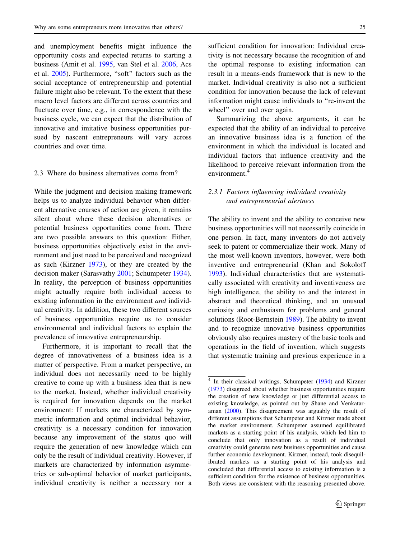and unemployment benefits might influence the opportunity costs and expected returns to starting a business (Amit et al. [1995,](#page-15-0) van Stel et al. [2006,](#page-16-0) Acs et al. [2005\)](#page-15-0). Furthermore, ''soft'' factors such as the social acceptance of entrepreneurship and potential failure might also be relevant. To the extent that these macro level factors are different across countries and fluctuate over time, e.g., in correspondence with the business cycle, we can expect that the distribution of innovative and imitative business opportunities pursued by nascent entrepreneurs will vary across countries and over time.

### 2.3 Where do business alternatives come from?

While the judgment and decision making framework helps us to analyze individual behavior when different alternative courses of action are given, it remains silent about where these decision alternatives or potential business opportunities come from. There are two possible answers to this question: Either, business opportunities objectively exist in the environment and just need to be perceived and recognized as such (Kirzner [1973\)](#page-16-0), or they are created by the decision maker (Sarasvathy [2001](#page-16-0); Schumpeter [1934](#page-16-0)). In reality, the perception of business opportunities might actually require both individual access to existing information in the environment and individual creativity. In addition, these two different sources of business opportunities require us to consider environmental and individual factors to explain the prevalence of innovative entrepreneurship.

Furthermore, it is important to recall that the degree of innovativeness of a business idea is a matter of perspective. From a market perspective, an individual does not necessarily need to be highly creative to come up with a business idea that is new to the market. Instead, whether individual creativity is required for innovation depends on the market environment: If markets are characterized by symmetric information and optimal individual behavior, creativity is a necessary condition for innovation because any improvement of the status quo will require the generation of new knowledge which can only be the result of individual creativity. However, if markets are characterized by information asymmetries or sub-optimal behavior of market participants, individual creativity is neither a necessary nor a

sufficient condition for innovation: Individual creativity is not necessary because the recognition of and the optimal response to existing information can result in a means-ends framework that is new to the market. Individual creativity is also not a sufficient condition for innovation because the lack of relevant information might cause individuals to ''re-invent the wheel'' over and over again.

Summarizing the above arguments, it can be expected that the ability of an individual to perceive an innovative business idea is a function of the environment in which the individual is located and individual factors that influence creativity and the likelihood to perceive relevant information from the environment.<sup>4</sup>

# 2.3.1 Factors influencing individual creativity and entrepreneurial alertness

The ability to invent and the ability to conceive new business opportunities will not necessarily coincide in one person. In fact, many inventors do not actively seek to patent or commercialize their work. Many of the most well-known inventors, however, were both inventive and entrepreneurial (Khan and Sokoloff [1993\)](#page-16-0). Individual characteristics that are systematically associated with creativity and inventiveness are high intelligence, the ability to and the interest in abstract and theoretical thinking, and an unusual curiosity and enthusiasm for problems and general solutions (Root-Bernstein [1989](#page-16-0)). The ability to invent and to recognize innovative business opportunities obviously also requires mastery of the basic tools and operations in the field of invention, which suggests that systematic training and previous experience in a

<sup>4</sup> In their classical writings, Schumpeter [\(1934](#page-16-0)) and Kirzner ([1973\)](#page-16-0) disagreed about whether business opportunities require the creation of new knowledge or just differential access to existing knowledge, as pointed out by Shane and Venkataraman [\(2000](#page-16-0)). This disagreement was arguably the result of different assumptions that Schumpeter and Kirzner made about the market environment. Schumpeter assumed equilibrated markets as a starting point of his analysis, which led him to conclude that only innovation as a result of individual creativity could generate new business opportunities and cause further economic development. Kirzner, instead, took disequilibrated markets as a starting point of his analysis and concluded that differential access to existing information is a sufficient condition for the existence of business opportunities. Both views are consistent with the reasoning presented above.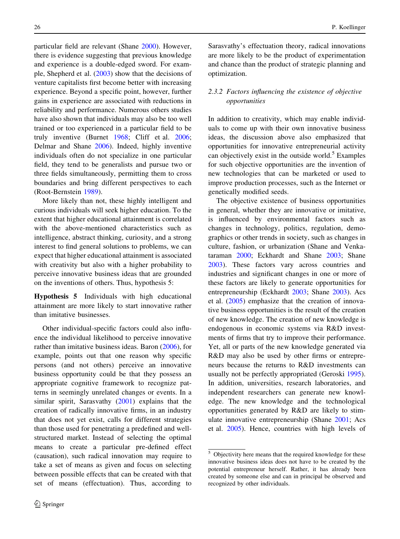particular field are relevant (Shane [2000\)](#page-16-0). However, there is evidence suggesting that previous knowledge and experience is a double-edged sword. For example, Shepherd et al. [\(2003](#page-16-0)) show that the decisions of venture capitalists first become better with increasing experience. Beyond a specific point, however, further gains in experience are associated with reductions in reliability and performance. Numerous others studies have also shown that individuals may also be too well trained or too experienced in a particular field to be truly inventive (Burnet [1968](#page-15-0); Cliff et al. [2006](#page-15-0); Delmar and Shane [2006\)](#page-15-0). Indeed, highly inventive individuals often do not specialize in one particular field, they tend to be generalists and pursue two or three fields simultaneously, permitting them to cross boundaries and bring different perspectives to each (Root-Bernstein [1989\)](#page-16-0).

More likely than not, these highly intelligent and curious individuals will seek higher education. To the extent that higher educational attainment is correlated with the above-mentioned characteristics such as intelligence, abstract thinking, curiosity, and a strong interest to find general solutions to problems, we can expect that higher educational attainment is associated with creativity but also with a higher probability to perceive innovative business ideas that are grounded on the inventions of others. Thus, hypothesis 5:

Hypothesis 5 Individuals with high educational attainment are more likely to start innovative rather than imitative businesses.

Other individual-specific factors could also influence the individual likelihood to perceive innovative rather than imitative business ideas. Baron [\(2006](#page-15-0)), for example, points out that one reason why specific persons (and not others) perceive an innovative business opportunity could be that they possess an appropriate cognitive framework to recognize patterns in seemingly unrelated changes or events. In a similar spirit, Sarasvathy ([2001\)](#page-16-0) explains that the creation of radically innovative firms, in an industry that does not yet exist, calls for different strategies than those used for penetrating a predefined and wellstructured market. Instead of selecting the optimal means to create a particular pre-defined effect (causation), such radical innovation may require to take a set of means as given and focus on selecting between possible effects that can be created with that set of means (effectuation). Thus, according to Sarasvathy's effectuation theory, radical innovations are more likely to be the product of experimentation and chance than the product of strategic planning and optimization.

# 2.3.2 Factors influencing the existence of objective opportunities

In addition to creativity, which may enable individuals to come up with their own innovative business ideas, the discussion above also emphasized that opportunities for innovative entrepreneurial activity can objectively exist in the outside world. $5$  Examples for such objective opportunities are the invention of new technologies that can be marketed or used to improve production processes, such as the Internet or genetically modified seeds.

The objective existence of business opportunities in general, whether they are innovative or imitative, is influenced by environmental factors such as changes in technology, politics, regulation, demographics or other trends in society, such as changes in culture, fashion, or urbanization (Shane and Venkataraman [2000;](#page-16-0) Eckhardt and Shane [2003;](#page-15-0) Shane [2003\)](#page-16-0). These factors vary across countries and industries and significant changes in one or more of these factors are likely to generate opportunities for entrepreneurship (Eckhardt [2003;](#page-15-0) Shane [2003\)](#page-16-0). Acs et al. [\(2005](#page-15-0)) emphasize that the creation of innovative business opportunities is the result of the creation of new knowledge. The creation of new knowledge is endogenous in economic systems via R&D investments of firms that try to improve their performance. Yet, all or parts of the new knowledge generated via R&D may also be used by other firms or entrepreneurs because the returns to R&D investments can usually not be perfectly appropriated (Geroski [1995](#page-15-0)). In addition, universities, research laboratories, and independent researchers can generate new knowledge. The new knowledge and the technological opportunities generated by R&D are likely to stimulate innovative entrepreneurship (Shane [2001;](#page-16-0) Acs et al. [2005\)](#page-15-0). Hence, countries with high levels of

<sup>5</sup> Objectivity here means that the required knowledge for these innovative business ideas does not have to be created by the potential entrepreneur herself. Rather, it has already been created by someone else and can in principal be observed and recognized by other individuals.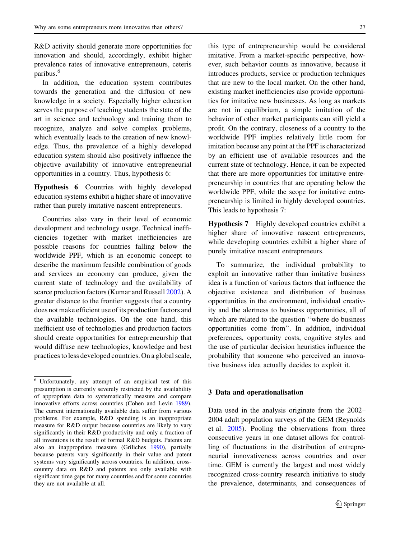R&D activity should generate more opportunities for innovation and should, accordingly, exhibit higher prevalence rates of innovative entrepreneurs, ceteris paribus.<sup>6</sup>

In addition, the education system contributes towards the generation and the diffusion of new knowledge in a society. Especially higher education serves the purpose of teaching students the state of the art in science and technology and training them to recognize, analyze and solve complex problems, which eventually leads to the creation of new knowledge. Thus, the prevalence of a highly developed education system should also positively influence the objective availability of innovative entrepreneurial opportunities in a country. Thus, hypothesis 6:

Hypothesis 6 Countries with highly developed education systems exhibit a higher share of innovative rather than purely imitative nascent entrepreneurs.

Countries also vary in their level of economic development and technology usage. Technical inefficiencies together with market inefficiencies are possible reasons for countries falling below the worldwide PPF, which is an economic concept to describe the maximum feasible combination of goods and services an economy can produce, given the current state of technology and the availability of scarce production factors (Kumar and Russell [2002\)](#page-16-0). A greater distance to the frontier suggests that a country does not make efficient use of its production factors and the available technologies. On the one hand, this inefficient use of technologies and production factors should create opportunities for entrepreneurship that would diffuse new technologies, knowledge and best practices to less developed countries. On a global scale,

this type of entrepreneurship would be considered imitative. From a market-specific perspective, however, such behavior counts as innovative, because it introduces products, service or production techniques that are new to the local market. On the other hand, existing market inefficiencies also provide opportunities for imitative new businesses. As long as markets are not in equilibrium, a simple imitation of the behavior of other market participants can still yield a profit. On the contrary, closeness of a country to the worldwide PPF implies relatively little room for imitation because any point at the PPF is characterized by an efficient use of available resources and the current state of technology. Hence, it can be expected that there are more opportunities for imitative entrepreneurship in countries that are operating below the worldwide PPF, while the scope for imitative entrepreneurship is limited in highly developed countries. This leads to hypothesis 7:

Hypothesis 7 Highly developed countries exhibit a higher share of innovative nascent entrepreneurs, while developing countries exhibit a higher share of purely imitative nascent entrepreneurs.

To summarize, the individual probability to exploit an innovative rather than imitative business idea is a function of various factors that influence the objective existence and distribution of business opportunities in the environment, individual creativity and the alertness to business opportunities, all of which are related to the question ''where do business opportunities come from''. In addition, individual preferences, opportunity costs, cognitive styles and the use of particular decision heuristics influence the probability that someone who perceived an innovative business idea actually decides to exploit it.

### 3 Data and operationalisation

Data used in the analysis originate from the 2002– 2004 adult population surveys of the GEM (Reynolds et al. [2005](#page-16-0)). Pooling the observations from three consecutive years in one dataset allows for controlling of fluctuations in the distribution of entrepreneurial innovativeness across countries and over time. GEM is currently the largest and most widely recognized cross-country research initiative to study the prevalence, determinants, and consequences of

<sup>6</sup> Unfortunately, any attempt of an empirical test of this presumption is currently severely restricted by the availability of appropriate data to systematically measure and compare innovative efforts across countries (Cohen and Levin [1989](#page-15-0)). The current internationally available data suffer from various problems. For example, R&D spending is an inappropriate measure for R&D output because countries are likely to vary significantly in their R&D productivity and only a fraction of all inventions is the result of formal R&D budgets. Patents are also an inappropriate measure (Griliches [1990\)](#page-15-0), partially because patents vary significantly in their value and patent systems vary significantly across countries. In addition, crosscountry data on R&D and patents are only available with significant time gaps for many countries and for some countries they are not available at all.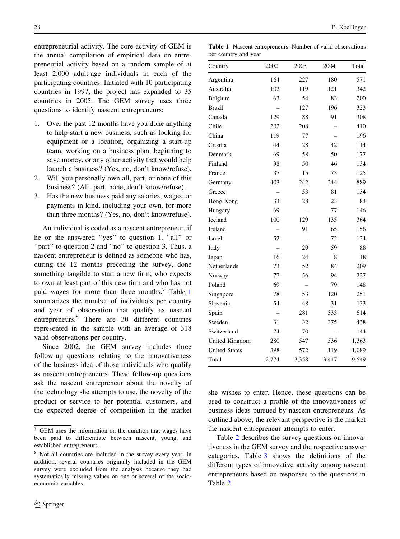entrepreneurial activity. The core activity of GEM is the annual compilation of empirical data on entrepreneurial activity based on a random sample of at least 2,000 adult-age individuals in each of the participating countries. Initiated with 10 participating countries in 1997, the project has expanded to 35 countries in 2005. The GEM survey uses three questions to identify nascent entrepreneurs:

- 1. Over the past 12 months have you done anything to help start a new business, such as looking for equipment or a location, organizing a start-up team, working on a business plan, beginning to save money, or any other activity that would help launch a business? (Yes, no, don't know/refuse).
- 2. Will you personally own all, part, or none of this business? (All, part, none, don't know/refuse).
- 3. Has the new business paid any salaries, wages, or payments in kind, including your own, for more than three months? (Yes, no, don't know/refuse).

An individual is coded as a nascent entrepreneur, if he or she answered "yes" to question 1, "all" or "part" to question 2 and "no" to question 3. Thus, a nascent entrepreneur is defined as someone who has, during the 12 months preceding the survey, done something tangible to start a new firm; who expects to own at least part of this new firm and who has not paid wages for more than three months.<sup>7</sup> Table 1 summarizes the number of individuals per country and year of observation that qualify as nascent entrepreneurs.<sup>8</sup> There are 30 different countries represented in the sample with an average of 318 valid observations per country.

Since 2002, the GEM survey includes three follow-up questions relating to the innovativeness of the business idea of those individuals who qualify as nascent entrepreneurs. These follow-up questions ask the nascent entrepreneur about the novelty of the technology she attempts to use, the novelty of the product or service to her potential customers, and the expected degree of competition in the market

Table 1 Nascent entrepreneurs: Number of valid observations per country and year

| Country              | 2002                     | 2003  | 2004  | Total |
|----------------------|--------------------------|-------|-------|-------|
| Argentina            | 164                      | 227   | 180   | 571   |
| Australia            | 102                      | 119   | 121   | 342   |
| Belgium              | 63                       | 54    | 83    | 200   |
| <b>Brazil</b>        |                          | 127   | 196   | 323   |
| Canada               | 129                      | 88    | 91    | 308   |
| Chile                | 202                      | 208   |       | 410   |
| China                | 119                      | 77    |       | 196   |
| Croatia              | 44                       | 28    | 42    | 114   |
| Denmark              | 69                       | 58    | 50    | 177   |
| Finland              | 38                       | 50    | 46    | 134   |
| France               | 37                       | 15    | 73    | 125   |
| Germany              | 403                      | 242   | 244   | 889   |
| Greece               |                          | 53    | 81    | 134   |
| Hong Kong            | 33                       | 28    | 23    | 84    |
| Hungary              | 69                       |       | 77    | 146   |
| Iceland              | 100                      | 129   | 135   | 364   |
| Ireland              |                          | 91    | 65    | 156   |
| Israel               | 52                       |       | 72    | 124   |
| Italy                |                          | 29    | 59    | 88    |
| Japan                | 16                       | 24    | 8     | 48    |
| Netherlands          | 73                       | 52    | 84    | 209   |
| Norway               | 77                       | 56    | 94    | 227   |
| Poland               | 69                       |       | 79    | 148   |
| Singapore            | 78                       | 53    | 120   | 251   |
| Slovenia             | 54                       | 48    | 31    | 133   |
| Spain                | $\overline{\phantom{0}}$ | 281   | 333   | 614   |
| Sweden               | 31                       | 32    | 375   | 438   |
| Switzerland          | 74                       | 70    |       | 144   |
| United Kingdom       | 280                      | 547   | 536   | 1,363 |
| <b>United States</b> | 398                      | 572   | 119   | 1,089 |
| Total                | 2,774                    | 3,358 | 3,417 | 9,549 |

she wishes to enter. Hence, these questions can be used to construct a profile of the innovativeness of business ideas pursued by nascent entrepreneurs. As outlined above, the relevant perspective is the market the nascent entrepreneur attempts to enter.

Table [2](#page-8-0) describes the survey questions on innovativeness in the GEM survey and the respective answer categories. Table [3](#page-8-0) shows the definitions of the different types of innovative activity among nascent entrepreneurs based on responses to the questions in Table [2](#page-8-0).

<sup>7</sup> GEM uses the information on the duration that wages have been paid to differentiate between nascent, young, and established entrepreneurs.

<sup>&</sup>lt;sup>8</sup> Not all countries are included in the survey every year. In addition, several countries originally included in the GEM survey were excluded from the analysis because they had systematically missing values on one or several of the socioeconomic variables.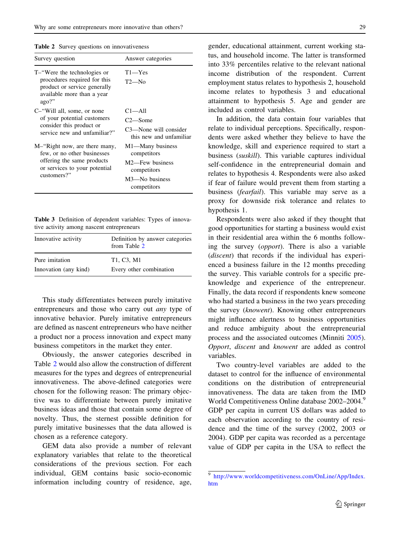<span id="page-8-0"></span>Table 2 Survey questions on innovativeness

| Survey question                                                                                                                            | Answer categories                                                                                               |
|--------------------------------------------------------------------------------------------------------------------------------------------|-----------------------------------------------------------------------------------------------------------------|
| T-"Were the technologies or<br>procedures required for this<br>product or service generally<br>available more than a year<br>ago?"         | $T1 - Yes$<br>$T2-N0$                                                                                           |
| C-"Will all, some, or none<br>of your potential customers<br>consider this product or<br>service new and unfamiliar?"                      | C1—All<br>C2—Some<br>C3—None will consider<br>this new and unfamiliar                                           |
| M-"Right now, are there many,<br>few, or no other businesses<br>offering the same products<br>or services to your potential<br>customers?" | M1—Many business<br>competitors<br>M2—Few business<br>competitors<br>M <sub>3</sub> —No business<br>competitors |

Table 3 Definition of dependent variables: Types of innovative activity among nascent entrepreneurs

| Innovative activity   | Definition by answer categories<br>from Table 2  |
|-----------------------|--------------------------------------------------|
| Pure imitation        | T <sub>1</sub> , C <sub>3</sub> , M <sub>1</sub> |
| Innovation (any kind) | Every other combination                          |

This study differentiates between purely imitative entrepreneurs and those who carry out any type of innovative behavior. Purely imitative entrepreneurs are defined as nascent entrepreneurs who have neither a product nor a process innovation and expect many business competitors in the market they enter.

Obviously, the answer categories described in Table 2 would also allow the construction of different measures for the types and degrees of entrepreneurial innovativeness. The above-defined categories were chosen for the following reason: The primary objective was to differentiate between purely imitative business ideas and those that contain some degree of novelty. Thus, the sternest possible definition for purely imitative businesses that the data allowed is chosen as a reference category.

GEM data also provide a number of relevant explanatory variables that relate to the theoretical considerations of the previous section. For each individual, GEM contains basic socio-economic information including country of residence, age, gender, educational attainment, current working status, and household income. The latter is transformed into 33% percentiles relative to the relevant national income distribution of the respondent. Current employment status relates to hypothesis 2, household income relates to hypothesis 3 and educational attainment to hypothesis 5. Age and gender are included as control variables.

In addition, the data contain four variables that relate to individual perceptions. Specifically, respondents were asked whether they believe to have the knowledge, skill and experience required to start a business (suskill). This variable captures individual self-confidence in the entrepreneurial domain and relates to hypothesis 4. Respondents were also asked if fear of failure would prevent them from starting a business (fearfail). This variable may serve as a proxy for downside risk tolerance and relates to hypothesis 1.

Respondents were also asked if they thought that good opportunities for starting a business would exist in their residential area within the 6 months following the survey (opport). There is also a variable (*discent*) that records if the individual has experienced a business failure in the 12 months preceding the survey. This variable controls for a specific preknowledge and experience of the entrepreneur. Finally, the data record if respondents knew someone who had started a business in the two years preceding the survey (knowent). Knowing other entrepreneurs might influence alertness to business opportunities and reduce ambiguity about the entrepreneurial process and the associated outcomes (Minniti [2005](#page-16-0)). Opport, discent and knowent are added as control variables.

Two country-level variables are added to the dataset to control for the influence of environmental conditions on the distribution of entrepreneurial innovativeness. The data are taken from the IMD World Competitiveness Online database 2002–2004.<sup>9</sup> GDP per capita in current US dollars was added to each observation according to the country of residence and the time of the survey (2002, 2003 or 2004). GDP per capita was recorded as a percentage value of GDP per capita in the USA to reflect the

<sup>9</sup> [http://www.worldcompetitiveness.com/OnLine/App/Index.](http://www.worldcompetitiveness.com/OnLine/App/Index.htm) [htm](http://www.worldcompetitiveness.com/OnLine/App/Index.htm)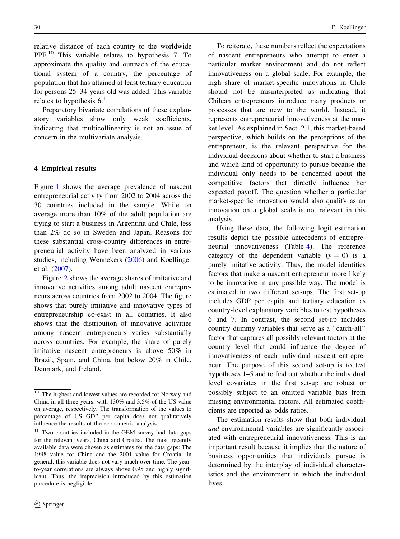relative distance of each country to the worldwide PPF.<sup>10</sup> This variable relates to hypothesis 7. To approximate the quality and outreach of the educational system of a country, the percentage of population that has attained at least tertiary education for persons 25–34 years old was added. This variable relates to hypothesis  $6<sup>11</sup>$ 

Preparatory bivariate correlations of these explanatory variables show only weak coefficients, indicating that multicollinearity is not an issue of concern in the multivariate analysis.

### 4 Empirical results

Figure [1](#page-10-0) shows the average prevalence of nascent entrepreneurial activity from 2002 to 2004 across the 30 countries included in the sample. While on average more than 10% of the adult population are trying to start a business in Argentina and Chile, less than 2% do so in Sweden and Japan. Reasons for these substantial cross-country differences in entrepreneurial activity have been analyzed in various studies, including Wennekers [\(2006](#page-16-0)) and Koellinger et al. ([2007\)](#page-16-0).

Figure [2](#page-10-0) shows the average shares of imitative and innovative activities among adult nascent entrepreneurs across countries from 2002 to 2004. The figure shows that purely imitative and innovative types of entrepreneurship co-exist in all countries. It also shows that the distribution of innovative activities among nascent entrepreneurs varies substantially across countries. For example, the share of purely imitative nascent entrepreneurs is above 50% in Brazil, Spain, and China, but below 20% in Chile, Denmark, and Ireland.

To reiterate, these numbers reflect the expectations of nascent entrepreneurs who attempt to enter a particular market environment and do not reflect innovativeness on a global scale. For example, the high share of market-specific innovations in Chile should not be misinterpreted as indicating that Chilean entrepreneurs introduce many products or processes that are new to the world. Instead, it represents entrepreneurial innovativeness at the market level. As explained in Sect. 2.1, this market-based perspective, which builds on the perceptions of the entrepreneur, is the relevant perspective for the individual decisions about whether to start a business and which kind of opportunity to pursue because the individual only needs to be concerned about the competitive factors that directly influence her expected payoff. The question whether a particular market-specific innovation would also qualify as an innovation on a global scale is not relevant in this analysis.

Using these data, the following logit estimation results depict the possible antecedents of entrepreneurial innovativeness (Table [4](#page-11-0)). The reference category of the dependent variable  $(y = 0)$  is a purely imitative activity. Thus, the model identifies factors that make a nascent entrepreneur more likely to be innovative in any possible way. The model is estimated in two different set-ups. The first set-up includes GDP per capita and tertiary education as country-level explanatory variables to test hypotheses 6 and 7. In contrast, the second set-up includes country dummy variables that serve as a ''catch-all'' factor that captures all possibly relevant factors at the country level that could influence the degree of innovativeness of each individual nascent entrepreneur. The purpose of this second set-up is to test hypotheses 1–5 and to find out whether the individual level covariates in the first set-up are robust or possibly subject to an omitted variable bias from missing environmental factors. All estimated coefficients are reported as odds ratios.

The estimation results show that both individual and environmental variables are significantly associated with entrepreneurial innovativeness. This is an important result because it implies that the nature of business opportunities that individuals pursue is determined by the interplay of individual characteristics and the environment in which the individual lives.

<sup>&</sup>lt;sup>10</sup> The highest and lowest values are recorded for Norway and China in all three years, with 130% and 3.5% of the US value on average, respectively. The transformation of the values to percentage of US GDP per capita does not qualitatively influence the results of the econometric analysis.

<sup>&</sup>lt;sup>11</sup> Two countries included in the GEM survey had data gaps for the relevant years, China and Croatia. The most recently available data were chosen as estimates for the data gaps: The 1998 value for China and the 2001 value for Croatia. In general, this variable does not vary much over time. The yearto-year correlations are always above 0.95 and highly significant. Thus, the imprecision introduced by this estimation procedure is negligible.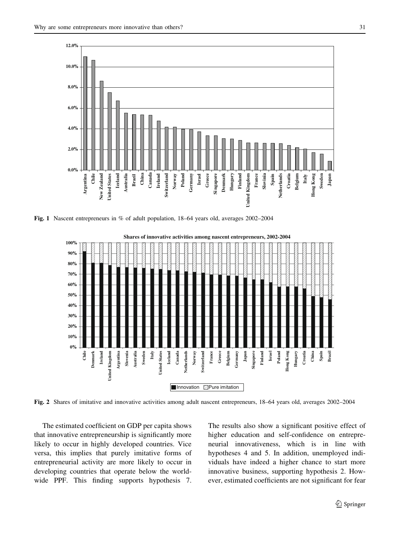<span id="page-10-0"></span>

Fig. 1 Nascent entrepreneurs in % of adult population, 18–64 years old, averages 2002–2004



Fig. 2 Shares of imitative and innovative activities among adult nascent entrepreneurs, 18–64 years old, averages 2002–2004

The estimated coefficient on GDP per capita shows that innovative entrepreneurship is significantly more likely to occur in highly developed countries. Vice versa, this implies that purely imitative forms of entrepreneurial activity are more likely to occur in developing countries that operate below the worldwide PPF. This finding supports hypothesis 7. The results also show a significant positive effect of higher education and self-confidence on entrepreneurial innovativeness, which is in line with hypotheses 4 and 5. In addition, unemployed individuals have indeed a higher chance to start more innovative business, supporting hypothesis 2. However, estimated coefficients are not significant for fear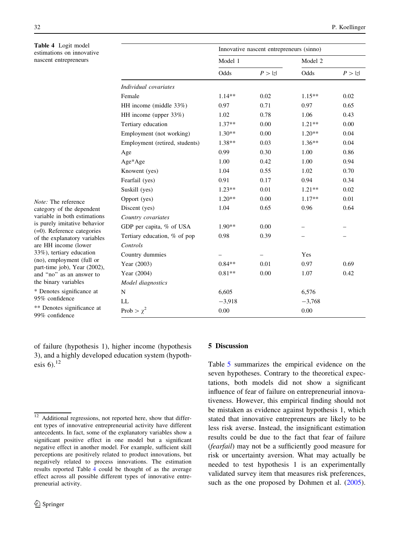<span id="page-11-0"></span>Table 4 Logit model estimations on innovative nascent entrepreneurs

|                                | Innovative nascent entrepreneurs (sinno) |        |          |        |
|--------------------------------|------------------------------------------|--------|----------|--------|
|                                | Model 1                                  |        | Model 2  |        |
|                                | Odds                                     | P >  z | Odds     | P >  z |
| Individual covariates          |                                          |        |          |        |
| Female                         | $1.14**$                                 | 0.02   | $1.15**$ | 0.02   |
| HH income (middle 33%)         | 0.97                                     | 0.71   | 0.97     | 0.65   |
| HH income (upper 33%)          | 1.02                                     | 0.78   | 1.06     | 0.43   |
| Tertiary education             | $1.37**$                                 | 0.00   | $1.21**$ | 0.00   |
| Employment (not working)       | $1.30**$                                 | 0.00   | $1.20**$ | 0.04   |
| Employment (retired, students) | $1.38**$                                 | 0.03   | $1.36**$ | 0.04   |
| Age                            | 0.99                                     | 0.30   | 1.00     | 0.86   |
| Age*Age                        | 1.00                                     | 0.42   | 1.00     | 0.94   |
| Knowent (yes)                  | 1.04                                     | 0.55   | 1.02     | 0.70   |
| Fearfail (yes)                 | 0.91                                     | 0.17   | 0.94     | 0.34   |
| Suskill (yes)                  | $1.23**$                                 | 0.01   | $1.21**$ | 0.02   |
| Opport (yes)                   | $1.20**$                                 | 0.00   | $1.17**$ | 0.01   |
| Discent (yes)                  | 1.04                                     | 0.65   | 0.96     | 0.64   |
| Country covariates             |                                          |        |          |        |
| GDP per capita, % of USA       | $1.90**$                                 | 0.00   |          |        |
| Tertiary education, % of pop   | 0.98                                     | 0.39   |          |        |
| Controls                       |                                          |        |          |        |
| Country dummies                |                                          |        | Yes      |        |
| Year (2003)                    | $0.84**$                                 | 0.01   | 0.97     | 0.69   |
| Year (2004)                    | $0.81**$                                 | 0.00   | 1.07     | 0.42   |
| Model diagnostics              |                                          |        |          |        |
| ${\bf N}$                      | 6,605                                    |        | 6,576    |        |
| LL                             | $-3,918$                                 |        | $-3,768$ |        |
| Prob $> \chi^2$                | 0.00                                     |        | 0.00     |        |

category of the dependent variable in both estimations is purely imitative behavior (=0). Reference categories of the explanatory variables are HH income (lower 33%), tertiary education (no), employment (full or part-time job), Year (2002), and ''no'' as an answer to the binary variables

Note: The reference

\* Denotes significance at 95% confidence

\*\* Denotes significance at 99% confidence

of failure (hypothesis 1), higher income (hypothesis 3), and a highly developed education system (hypothesis  $6$ .<sup>12</sup>

#### 5 Discussion

Table [5](#page-12-0) summarizes the empirical evidence on the seven hypotheses. Contrary to the theoretical expectations, both models did not show a significant influence of fear of failure on entrepreneurial innovativeness. However, this empirical finding should not be mistaken as evidence against hypothesis 1, which stated that innovative entrepreneurs are likely to be less risk averse. Instead, the insignificant estimation results could be due to the fact that fear of failure (fearfail) may not be a sufficiently good measure for risk or uncertainty aversion. What may actually be needed to test hypothesis 1 is an experimentally validated survey item that measures risk preferences, such as the one proposed by Dohmen et al.  $(2005)$  $(2005)$  $(2005)$ .

<sup>&</sup>lt;sup>12</sup> Additional regressions, not reported here, show that different types of innovative entrepreneurial activity have different antecedents. In fact, some of the explanatory variables show a significant positive effect in one model but a significant negative effect in another model. For example, sufficient skill perceptions are positively related to product innovations, but negatively related to process innovations. The estimation results reported Table 4 could be thought of as the average effect across all possible different types of innovative entrepreneurial activity.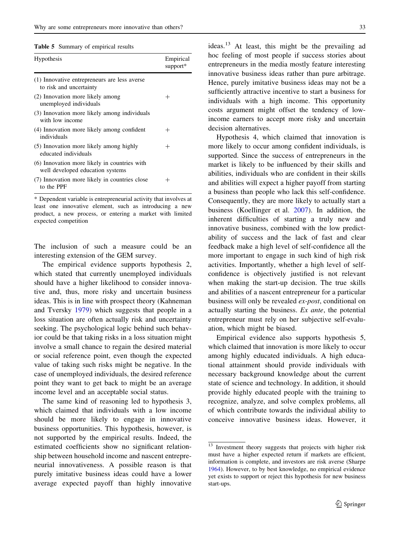<span id="page-12-0"></span>

|  |  |  | <b>Table 5</b> Summary of empirical results |  |  |  |
|--|--|--|---------------------------------------------|--|--|--|
|--|--|--|---------------------------------------------|--|--|--|

| Hypothesis                                                                       | Empirical<br>support* |
|----------------------------------------------------------------------------------|-----------------------|
| (1) Innovative entrepreneurs are less averse<br>to risk and uncertainty          |                       |
| (2) Innovation more likely among<br>unemployed individuals                       | $^+$                  |
| (3) Innovation more likely among individuals<br>with low income                  |                       |
| (4) Innovation more likely among confident<br>individuals                        | $^+$                  |
| (5) Innovation more likely among highly<br>educated individuals                  | $^+$                  |
| (6) Innovation more likely in countries with<br>well developed education systems |                       |
| (7) Innovation more likely in countries close<br>to the PPF                      |                       |

\* Dependent variable is entrepreneurial activity that involves at least one innovative element, such as introducing a new product, a new process, or entering a market with limited expected competition

The inclusion of such a measure could be an interesting extension of the GEM survey.

The empirical evidence supports hypothesis 2, which stated that currently unemployed individuals should have a higher likelihood to consider innovative and, thus, more risky and uncertain business ideas. This is in line with prospect theory (Kahneman and Tversky [1979](#page-16-0)) which suggests that people in a loss situation are often actually risk and uncertainty seeking. The psychological logic behind such behavior could be that taking risks in a loss situation might involve a small chance to regain the desired material or social reference point, even though the expected value of taking such risks might be negative. In the case of unemployed individuals, the desired reference point they want to get back to might be an average income level and an acceptable social status.

The same kind of reasoning led to hypothesis 3, which claimed that individuals with a low income should be more likely to engage in innovative business opportunities. This hypothesis, however, is not supported by the empirical results. Indeed, the estimated coefficients show no significant relationship between household income and nascent entrepreneurial innovativeness. A possible reason is that purely imitative business ideas could have a lower average expected payoff than highly innovative ideas.<sup>13</sup> At least, this might be the prevailing ad hoc feeling of most people if success stories about entrepreneurs in the media mostly feature interesting innovative business ideas rather than pure arbitrage. Hence, purely imitative business ideas may not be a sufficiently attractive incentive to start a business for individuals with a high income. This opportunity costs argument might offset the tendency of lowincome earners to accept more risky and uncertain decision alternatives.

Hypothesis 4, which claimed that innovation is more likely to occur among confident individuals, is supported. Since the success of entrepreneurs in the market is likely to be influenced by their skills and abilities, individuals who are confident in their skills and abilities will expect a higher payoff from starting a business than people who lack this self-confidence. Consequently, they are more likely to actually start a business (Koellinger et al. [2007\)](#page-16-0). In addition, the inherent difficulties of starting a truly new and innovative business, combined with the low predictability of success and the lack of fast and clear feedback make a high level of self-confidence all the more important to engage in such kind of high risk activities. Importantly, whether a high level of selfconfidence is objectively justified is not relevant when making the start-up decision. The true skills and abilities of a nascent entrepreneur for a particular business will only be revealed ex-post, conditional on actually starting the business. Ex ante, the potential entrepreneur must rely on her subjective self-evaluation, which might be biased.

Empirical evidence also supports hypothesis 5, which claimed that innovation is more likely to occur among highly educated individuals. A high educational attainment should provide individuals with necessary background knowledge about the current state of science and technology. In addition, it should provide highly educated people with the training to recognize, analyze, and solve complex problems, all of which contribute towards the individual ability to conceive innovative business ideas. However, it

<sup>&</sup>lt;sup>13</sup> Investment theory suggests that projects with higher risk must have a higher expected return if markets are efficient, information is complete, and investors are risk averse (Sharpe [1964\)](#page-16-0). However, to by best knowledge, no empirical evidence yet exists to support or reject this hypothesis for new business start-ups.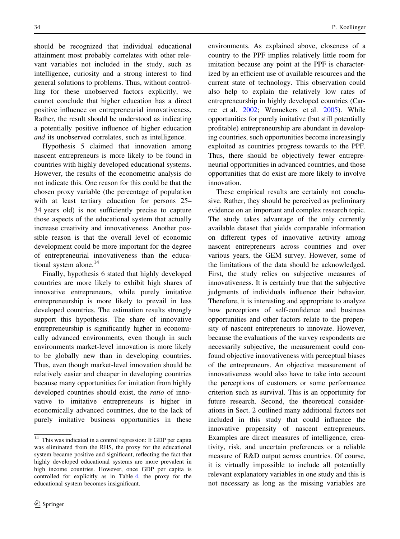should be recognized that individual educational attainment most probably correlates with other relevant variables not included in the study, such as intelligence, curiosity and a strong interest to find general solutions to problems. Thus, without controlling for these unobserved factors explicitly, we cannot conclude that higher education has a direct positive influence on entrepreneurial innovativeness. Rather, the result should be understood as indicating a potentially positive influence of higher education and its unobserved correlates, such as intelligence.

Hypothesis 5 claimed that innovation among nascent entrepreneurs is more likely to be found in countries with highly developed educational systems. However, the results of the econometric analysis do not indicate this. One reason for this could be that the chosen proxy variable (the percentage of population with at least tertiary education for persons 25– 34 years old) is not sufficiently precise to capture those aspects of the educational system that actually increase creativity and innovativeness. Another possible reason is that the overall level of economic development could be more important for the degree of entrepreneurial innovativeness than the educational system alone.<sup>14</sup>

Finally, hypothesis 6 stated that highly developed countries are more likely to exhibit high shares of innovative entrepreneurs, while purely imitative entrepreneurship is more likely to prevail in less developed countries. The estimation results strongly support this hypothesis. The share of innovative entrepreneurship is significantly higher in economically advanced environments, even though in such environments market-level innovation is more likely to be globally new than in developing countries. Thus, even though market-level innovation should be relatively easier and cheaper in developing countries because many opportunities for imitation from highly developed countries should exist, the ratio of innovative to imitative entrepreneurs is higher in economically advanced countries, due to the lack of purely imitative business opportunities in these

34 P. Koellinger

environments. As explained above, closeness of a country to the PPF implies relatively little room for imitation because any point at the PPF is characterized by an efficient use of available resources and the current state of technology. This observation could also help to explain the relatively low rates of entrepreneurship in highly developed countries (Carree et al. [2002](#page-15-0); Wennekers et al. [2005\)](#page-16-0). While opportunities for purely imitative (but still potentially profitable) entrepreneurship are abundant in developing countries, such opportunities become increasingly exploited as countries progress towards to the PPF. Thus, there should be objectively fewer entrepreneurial opportunities in advanced countries, and those opportunities that do exist are more likely to involve innovation.

These empirical results are certainly not conclusive. Rather, they should be perceived as preliminary evidence on an important and complex research topic. The study takes advantage of the only currently available dataset that yields comparable information on different types of innovative activity among nascent entrepreneurs across countries and over various years, the GEM survey. However, some of the limitations of the data should be acknowledged. First, the study relies on subjective measures of innovativeness. It is certainly true that the subjective judgments of individuals influence their behavior. Therefore, it is interesting and appropriate to analyze how perceptions of self-confidence and business opportunities and other factors relate to the propensity of nascent entrepreneurs to innovate. However, because the evaluations of the survey respondents are necessarily subjective, the measurement could confound objective innovativeness with perceptual biases of the entrepreneurs. An objective measurement of innovativeness would also have to take into account the perceptions of customers or some performance criterion such as survival. This is an opportunity for future research. Second, the theoretical considerations in Sect. 2 outlined many additional factors not included in this study that could influence the innovative propensity of nascent entrepreneurs. Examples are direct measures of intelligence, creativity, risk, and uncertain preferences or a reliable measure of R&D output across countries. Of course, it is virtually impossible to include all potentially relevant explanatory variables in one study and this is not necessary as long as the missing variables are

<sup>&</sup>lt;sup>14</sup> This was indicated in a control regression: If GDP per capita was eliminated from the RHS, the proxy for the educational system became positive and significant, reflecting the fact that highly developed educational systems are more prevalent in high income countries. However, once GDP per capita is controlled for explicitly as in Table [4](#page-11-0), the proxy for the educational system becomes insignificant.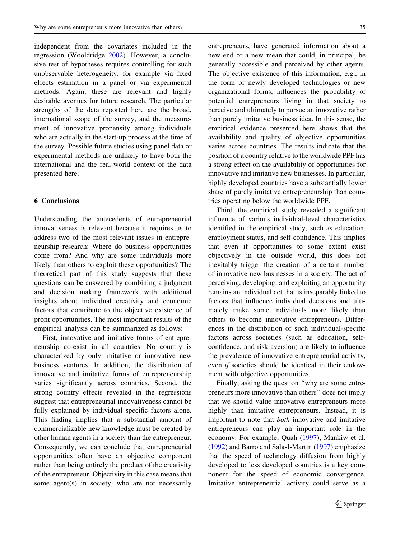independent from the covariates included in the regression (Wooldridge [2002](#page-16-0)). However, a conclusive test of hypotheses requires controlling for such unobservable heterogeneity, for example via fixed effects estimation in a panel or via experimental methods. Again, these are relevant and highly desirable avenues for future research. The particular strengths of the data reported here are the broad, international scope of the survey, and the measurement of innovative propensity among individuals who are actually in the start-up process at the time of the survey. Possible future studies using panel data or experimental methods are unlikely to have both the international and the real-world context of the data presented here.

### 6 Conclusions

Understanding the antecedents of entrepreneurial innovativeness is relevant because it requires us to address two of the most relevant issues in entrepreneurship research: Where do business opportunities come from? And why are some individuals more likely than others to exploit these opportunities? The theoretical part of this study suggests that these questions can be answered by combining a judgment and decision making framework with additional insights about individual creativity and economic factors that contribute to the objective existence of profit opportunities. The most important results of the empirical analysis can be summarized as follows:

First, innovative and imitative forms of entrepreneurship co-exist in all countries. No country is characterized by only imitative or innovative new business ventures. In addition, the distribution of innovative and imitative forms of entrepreneurship varies significantly across countries. Second, the strong country effects revealed in the regressions suggest that entrepreneurial innovativeness cannot be fully explained by individual specific factors alone. This finding implies that a substantial amount of commercializable new knowledge must be created by other human agents in a society than the entrepreneur. Consequently, we can conclude that entrepreneurial opportunities often have an objective component rather than being entirely the product of the creativity of the entrepreneur. Objectivity in this case means that some agent(s) in society, who are not necessarily

entrepreneurs, have generated information about a new end or a new mean that could, in principal, be generally accessible and perceived by other agents. The objective existence of this information, e.g., in the form of newly developed technologies or new organizational forms, influences the probability of potential entrepreneurs living in that society to perceive and ultimately to pursue an innovative rather than purely imitative business idea. In this sense, the empirical evidence presented here shows that the availability and quality of objective opportunities varies across countries. The results indicate that the position of a country relative to the worldwide PPF has a strong effect on the availability of opportunities for innovative and imitative new businesses. In particular, highly developed countries have a substantially lower share of purely imitative entrepreneurship than countries operating below the worldwide PPF.

Third, the empirical study revealed a significant influence of various individual-level characteristics identified in the empirical study, such as education, employment status, and self-confidence. This implies that even if opportunities to some extent exist objectively in the outside world, this does not inevitably trigger the creation of a certain number of innovative new businesses in a society. The act of perceiving, developing, and exploiting an opportunity remains an individual act that is inseparably linked to factors that influence individual decisions and ultimately make some individuals more likely than others to become innovative entrepreneurs. Differences in the distribution of such individual-specific factors across societies (such as education, selfconfidence, and risk aversion) are likely to influence the prevalence of innovative entrepreneurial activity, even if societies should be identical in their endowment with objective opportunities.

Finally, asking the question ''why are some entrepreneurs more innovative than others'' does not imply that we should value innovative entrepreneurs more highly than imitative entrepreneurs. Instead, it is important to note that both innovative and imitative entrepreneurs can play an important role in the economy. For example, Quah ([1997\)](#page-16-0), Mankiw et al. [\(1992](#page-16-0)) and Barro and Sala-I-Martin [\(1997](#page-15-0)) emphasize that the speed of technology diffusion from highly developed to less developed countries is a key component for the speed of economic convergence. Imitative entrepreneurial activity could serve as a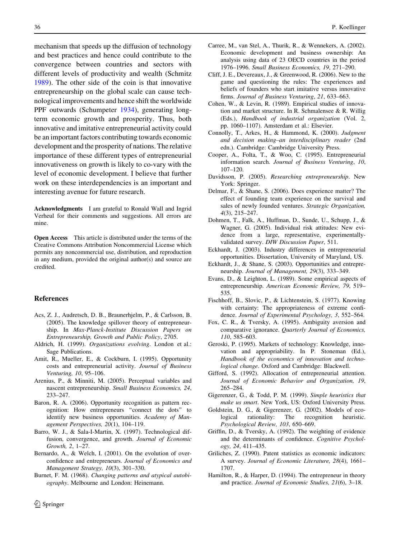<span id="page-15-0"></span>mechanism that speeds up the diffusion of technology and best practices and hence could contribute to the convergence between countries and sectors with different levels of productivity and wealth (Schmitz [1989\)](#page-16-0). The other side of the coin is that innovative entrepreneurship on the global scale can cause technological improvements and hence shift the worldwide PPF outwards (Schumpeter [1934](#page-16-0)), generating longterm economic growth and prosperity. Thus, both innovative and imitative entrepreneurial activity could be an important factors contributing towards economic development and the prosperity of nations. The relative importance of these different types of entrepreneurial innovativeness on growth is likely to co-vary with the level of economic development. I believe that further work on these interdependencies is an important and interesting avenue for future research.

Acknowledgments I am grateful to Ronald Wall and Ingrid Verheul for their comments and suggestions. All errors are mine.

Open Access This article is distributed under the terms of the Creative Commons Attribution Noncommercial License which permits any noncommercial use, distribution, and reproduction in any medium, provided the original author(s) and source are credited.

### References

- Acs, Z. J., Audretsch, D. B., Braunerhjelm, P., & Carlsson, B. (2005). The knowledge spillover theory of entrepreneurship. In Max-Planck-Institute Discussion Papers on Entrepreneurship, Growth and Public Policy, 2705.
- Aldrich, H. (1999). Organizations evolving. London et al.: Sage Publications.
- Amit, R., Mueller, E., & Cockburn, I. (1995). Opportunity costs and entrepreneurial activity. Journal of Business Venturing, 10, 95–106.
- Arenius, P., & Minniti, M. (2005). Perceptual variables and nascent entrepreneurship. Small Business Economics, 24, 233–247.
- Baron, R. A. (2006). Opportunity recognition as pattern recognition: How entrepreneurs ''connect the dots'' to identify new business opportunities. Academy of Management Perspectives, 20(1), 104–119.
- Barro, W. J., & Sala-I-Martin, X. (1997). Technological diffusion, convergence, and growth. Journal of Economic Growth, 2, 1–27.
- Bernardo, A., & Welch, I. (2001). On the evolution of overconfidence and entrepreneurs. Journal of Economics and Management Strategy, 10(3), 301–330.
- Burnet, F. M. (1968). Changing patterns and atypical autobiography. Melbourne and London: Heinemann.
- Carree, M., van Stel, A., Thurik, R., & Wennekers, A. (2002). Economic development and business ownership: An analysis using data of 23 OECD countries in the period 1976–1996. Small Business Economics, 19, 271–290.
- Cliff, J. E., Devereaux, J., & Greenwood, R. (2006). New to the game and questioning the rules: The experiences and beliefs of founders who start imitative versus innovative firms. Journal of Business Venturing, 21, 633–663.
- Cohen, W., & Levin, R. (1989). Empirical studies of innovation and market structure. In R. Schmalensee & R. Willig (Eds.), Handbook of industrial organization (Vol. 2, pp. 1060–1107). Amsterdam et al.: Elsevier.
- Connolly, T., Arkes, H., & Hammond, K. (2000). Judgment and decision making–an interdisciplinary reader (2nd edn.). Cambridge: Cambridge University Press.
- Cooper, A., Folta, T., & Woo, C. (1995). Entrepreneurial information search. Journal of Business Venturing, 10, 107–120.
- Davidsson, P. (2005). Researching entrepreneurship. New York: Springer.
- Delmar, F., & Shane, S. (2006). Does experience matter? The effect of founding team experience on the survival and sales of newly founded ventures. Strategic Organization, 4(3), 215–247.
- Dohmen, T., Falk, A., Huffman, D., Sunde, U., Schupp, J., & Wagner, G. (2005). Individual risk attitudes: New evidence from a large, representative, experimentallyvalidated survey. DIW Discussion Paper, 511.
- Eckhardt, J. (2003). Industry differences in entrepreneurial opportunities. Dissertation, University of Maryland, US.
- Eckhardt, J., & Shane, S. (2003). Opportunities and entrepreneurship. Journal of Management, 29(3), 333–349.
- Evans, D., & Leighton, L. (1989). Some empirical aspects of entrepreneurship. American Economic Review, 79, 519– 535.
- Fischhoff, B., Slovic, P., & Lichtenstein, S. (1977). Knowing with certainty: The appropriateness of extreme confidence. Journal of Experimental Psychology, 3, 552–564.
- Fox, C. R., & Tversky, A. (1995). Ambiguity aversion and comparative ignorance. Quarterly Journal of Economics, 110, 585–603.
- Geroski, P. (1995). Markets of technology: Knowledge, innovation and appropriability. In P. Stoneman (Ed.), Handbook of the economics of innovation and technological change. Oxford and Cambridge: Blackwell.
- Gifford, S. (1992). Allocation of entrepreneurial attention. Journal of Economic Behavior and Organization, 19, 265–284.
- Gigerenzer, G., & Todd, P. M. (1999). Simple heuristics that make us smart. New York, US: Oxford University Press.
- Goldstein, D. G., & Gigerenzer, G. (2002). Models of ecological rationality: The recognition heuristic. Psychological Review, 103, 650–669.
- Griffin, D., & Tversky, A. (1992). The weighting of evidence and the determinants of confidence. Cognitive Psychology, 24, 411–435.
- Griliches, Z. (1990). Patent statistics as economic indicators: A survey. Journal of Economic Literature, 28(4), 1661– 1707.
- Hamilton, R., & Harper, D. (1994). The entrepreneur in theory and practice. Journal of Economic Studies, 21(6), 3–18.